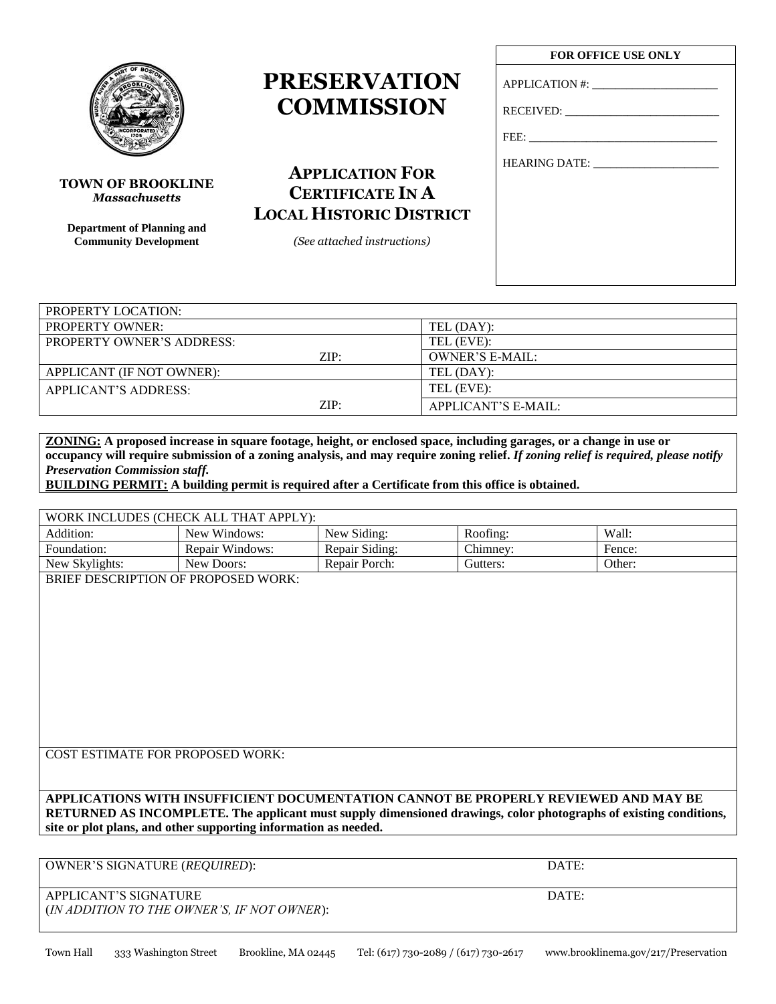APPLICANT'S SIGNATURE DATE: (*IN ADDITION TO THE OWNER'S, IF NOT OWNER*):

# **PRESERVATION COMMISSION**

HEARING DATE: \_\_\_\_\_\_\_\_\_\_\_\_\_\_\_\_\_\_\_\_\_\_ **APPLICATION FOR CERTIFICATE IN A LOCAL HISTORIC DISTRICT**

*(See attached instructions)*

# **FOR OFFICE USE ONLY**

APPLICATION #: \_\_\_\_\_\_\_\_\_\_\_\_\_\_\_\_\_\_\_\_\_\_

RECEIVED: \_\_\_\_\_\_\_\_\_\_\_\_\_\_\_\_\_\_\_\_\_\_\_\_\_\_\_

FEE:

| PROPERTY LOCATION:               |                        |
|----------------------------------|------------------------|
| <b>PROPERTY OWNER:</b>           | TEL (DAY):             |
| <b>PROPERTY OWNER'S ADDRESS:</b> | TEL (EVE):             |
| ZIP:                             | <b>OWNER'S E-MAIL:</b> |
| APPLICANT (IF NOT OWNER):        | TEL (DAY):             |
| APPLICANT'S ADDRESS:             | TEL (EVE):             |
| ZIP:                             | APPLICANT'S E-MAIL:    |

**ZONING: A proposed increase in square footage, height, or enclosed space, including garages, or a change in use or occupancy will require submission of a zoning analysis, and may require zoning relief.** *If zoning relief is required, please notify Preservation Commission staff.*

**BUILDING PERMIT: A building permit is required after a Certificate from this office is obtained.**

| WORK INCLUDES (CHECK ALL THAT APPLY): |                 |                |          |        |
|---------------------------------------|-----------------|----------------|----------|--------|
| Addition:                             | New Windows:    | New Siding:    | Roofing: | Wall:  |
| Foundation:                           | Repair Windows: | Repair Siding: | Chimney: | Fence: |
| New Skylights:                        | New Doors:      | Repair Porch:  | Gutters: | Other: |
|                                       |                 |                |          |        |

BRIEF DESCRIPTION OF PROPOSED WORK:

COST ESTIMATE FOR PROPOSED WORK:

**APPLICATIONS WITH INSUFFICIENT DOCUMENTATION CANNOT BE PROPERLY REVIEWED AND MAY BE RETURNED AS INCOMPLETE. The applicant must supply dimensioned drawings, color photographs of existing conditions, site or plot plans, and other supporting information as needed.**



*Massachusetts*

**TOWN OF BROOKLINE**

**Department of Planning and Community Development**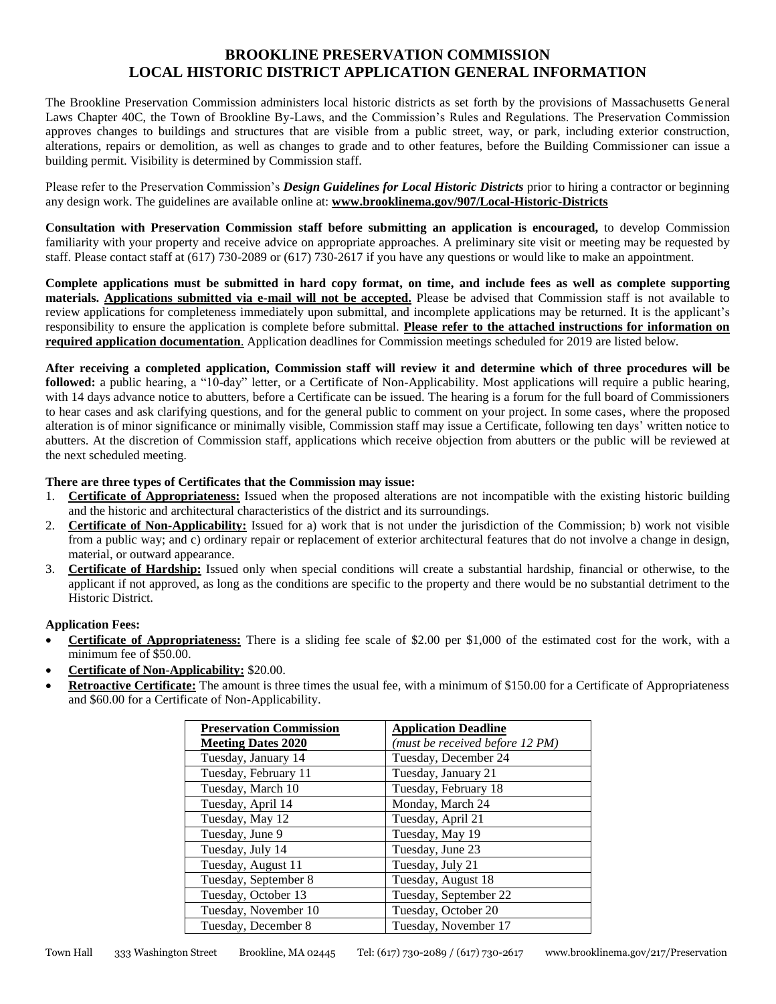# **BROOKLINE PRESERVATION COMMISSION LOCAL HISTORIC DISTRICT APPLICATION GENERAL INFORMATION**

The Brookline Preservation Commission administers local historic districts as set forth by the provisions of Massachusetts General Laws Chapter 40C, the Town of Brookline By-Laws, and the Commission's Rules and Regulations. The Preservation Commission approves changes to buildings and structures that are visible from a public street, way, or park, including exterior construction, alterations, repairs or demolition, as well as changes to grade and to other features, before the Building Commissioner can issue a building permit. Visibility is determined by Commission staff.

Please refer to the Preservation Commission's *Design Guidelines for Local Historic Districts* prior to hiring a contractor or beginning any design work. The guidelines are available online at: **www.brooklinema.gov/907/Local-Historic-Districts**

**Consultation with Preservation Commission staff before submitting an application is encouraged,** to develop Commission familiarity with your property and receive advice on appropriate approaches. A preliminary site visit or meeting may be requested by staff. Please contact staff at (617) 730-2089 or (617) 730-2617 if you have any questions or would like to make an appointment.

**Complete applications must be submitted in hard copy format, on time, and include fees as well as complete supporting materials. Applications submitted via e-mail will not be accepted.** Please be advised that Commission staff is not available to review applications for completeness immediately upon submittal, and incomplete applications may be returned. It is the applicant's responsibility to ensure the application is complete before submittal. **Please refer to the attached instructions for information on required application documentation**. Application deadlines for Commission meetings scheduled for 2019 are listed below.

**After receiving a completed application, Commission staff will review it and determine which of three procedures will be followed:** a public hearing, a "10-day" letter, or a Certificate of Non-Applicability. Most applications will require a public hearing, with 14 days advance notice to abutters, before a Certificate can be issued. The hearing is a forum for the full board of Commissioners to hear cases and ask clarifying questions, and for the general public to comment on your project. In some cases, where the proposed alteration is of minor significance or minimally visible, Commission staff may issue a Certificate, following ten days' written notice to abutters. At the discretion of Commission staff, applications which receive objection from abutters or the public will be reviewed at the next scheduled meeting.

### **There are three types of Certificates that the Commission may issue:**

- 1. **Certificate of Appropriateness:** Issued when the proposed alterations are not incompatible with the existing historic building and the historic and architectural characteristics of the district and its surroundings.
- 2. **Certificate of Non-Applicability:** Issued for a) work that is not under the jurisdiction of the Commission; b) work not visible from a public way; and c) ordinary repair or replacement of exterior architectural features that do not involve a change in design, material, or outward appearance.
- 3. **Certificate of Hardship:** Issued only when special conditions will create a substantial hardship, financial or otherwise, to the applicant if not approved, as long as the conditions are specific to the property and there would be no substantial detriment to the Historic District.

# **Application Fees:**

- **Certificate of Appropriateness:** There is a sliding fee scale of \$2.00 per \$1,000 of the estimated cost for the work, with a minimum fee of \$50.00.
- **Certificate of Non-Applicability:** \$20.00.
- **Retroactive Certificate:** The amount is three times the usual fee, with a minimum of \$150.00 for a Certificate of Appropriateness and \$60.00 for a Certificate of Non-Applicability.

| <b>Preservation Commission</b> | <b>Application Deadline</b>     |
|--------------------------------|---------------------------------|
| <b>Meeting Dates 2020</b>      | (must be received before 12 PM) |
| Tuesday, January 14            | Tuesday, December 24            |
| Tuesday, February 11           | Tuesday, January 21             |
| Tuesday, March 10              | Tuesday, February 18            |
| Tuesday, April 14              | Monday, March 24                |
| Tuesday, May 12                | Tuesday, April 21               |
| Tuesday, June 9                | Tuesday, May 19                 |
| Tuesday, July 14               | Tuesday, June 23                |
| Tuesday, August 11             | Tuesday, July 21                |
| Tuesday, September 8           | Tuesday, August 18              |
| Tuesday, October 13            | Tuesday, September 22           |
| Tuesday, November 10           | Tuesday, October 20             |
| Tuesday, December 8            | Tuesday, November 17            |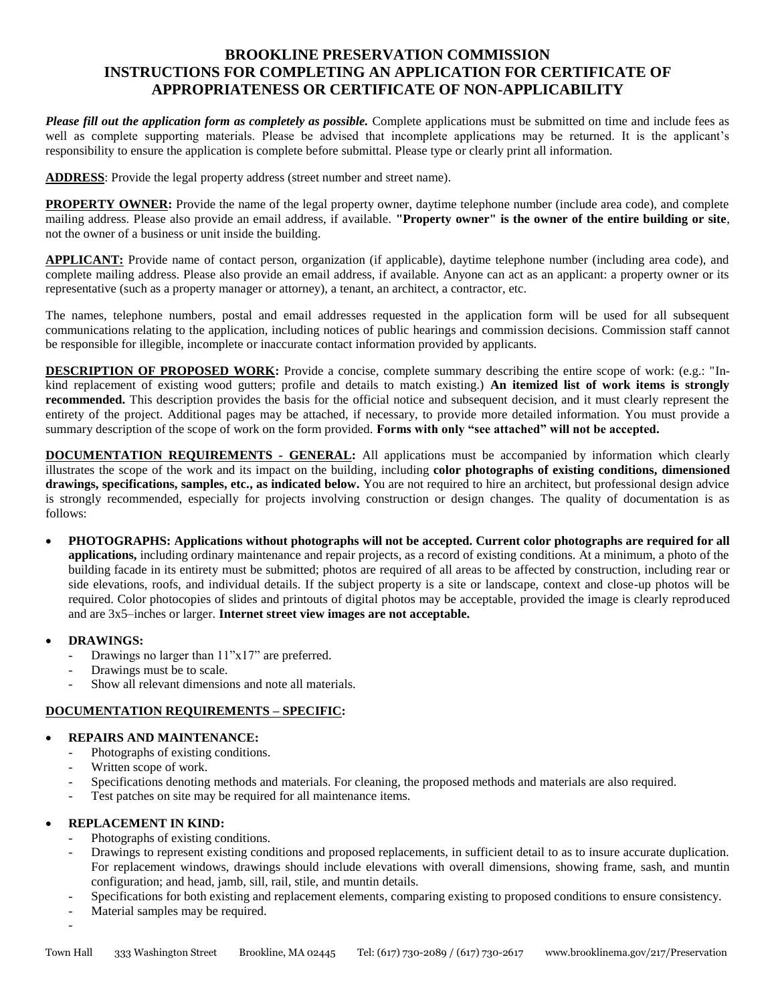# **BROOKLINE PRESERVATION COMMISSION INSTRUCTIONS FOR COMPLETING AN APPLICATION FOR CERTIFICATE OF APPROPRIATENESS OR CERTIFICATE OF NON-APPLICABILITY**

*Please fill out the application form as completely as possible.* Complete applications must be submitted on time and include fees as well as complete supporting materials. Please be advised that incomplete applications may be returned. It is the applicant's responsibility to ensure the application is complete before submittal. Please type or clearly print all information.

**ADDRESS**: Provide the legal property address (street number and street name).

**PROPERTY OWNER:** Provide the name of the legal property owner, daytime telephone number (include area code), and complete mailing address. Please also provide an email address, if available. **"Property owner" is the owner of the entire building or site**, not the owner of a business or unit inside the building.

**APPLICANT:** Provide name of contact person, organization (if applicable), daytime telephone number (including area code), and complete mailing address. Please also provide an email address, if available. Anyone can act as an applicant: a property owner or its representative (such as a property manager or attorney), a tenant, an architect, a contractor, etc.

The names, telephone numbers, postal and email addresses requested in the application form will be used for all subsequent communications relating to the application, including notices of public hearings and commission decisions. Commission staff cannot be responsible for illegible, incomplete or inaccurate contact information provided by applicants.

**DESCRIPTION OF PROPOSED WORK:** Provide a concise, complete summary describing the entire scope of work: (e.g.: "Inkind replacement of existing wood gutters; profile and details to match existing.) **An itemized list of work items is strongly recommended.** This description provides the basis for the official notice and subsequent decision, and it must clearly represent the entirety of the project. Additional pages may be attached, if necessary, to provide more detailed information. You must provide a summary description of the scope of work on the form provided. **Forms with only "see attached" will not be accepted.**

**DOCUMENTATION REQUIREMENTS - GENERAL:** All applications must be accompanied by information which clearly illustrates the scope of the work and its impact on the building, including **color photographs of existing conditions, dimensioned drawings, specifications, samples, etc., as indicated below.** You are not required to hire an architect, but professional design advice is strongly recommended, especially for projects involving construction or design changes. The quality of documentation is as follows:

 **PHOTOGRAPHS: Applications without photographs will not be accepted. Current color photographs are required for all applications,** including ordinary maintenance and repair projects, as a record of existing conditions. At a minimum, a photo of the building facade in its entirety must be submitted; photos are required of all areas to be affected by construction, including rear or side elevations, roofs, and individual details. If the subject property is a site or landscape, context and close-up photos will be required. Color photocopies of slides and printouts of digital photos may be acceptable, provided the image is clearly reproduced and are 3x5–inches or larger. **Internet street view images are not acceptable.**

# **DRAWINGS:**

-

- Drawings no larger than  $11"x17"$  are preferred.
- Drawings must be to scale.
- Show all relevant dimensions and note all materials.

# **DOCUMENTATION REQUIREMENTS – SPECIFIC:**

# **REPAIRS AND MAINTENANCE:**

- Photographs of existing conditions.
- Written scope of work.
- Specifications denoting methods and materials. For cleaning, the proposed methods and materials are also required.
- Test patches on site may be required for all maintenance items.

# **REPLACEMENT IN KIND:**

- Photographs of existing conditions.
- Drawings to represent existing conditions and proposed replacements, in sufficient detail to as to insure accurate duplication. For replacement windows, drawings should include elevations with overall dimensions, showing frame, sash, and muntin configuration; and head, jamb, sill, rail, stile, and muntin details.
- Specifications for both existing and replacement elements, comparing existing to proposed conditions to ensure consistency.
- Material samples may be required.